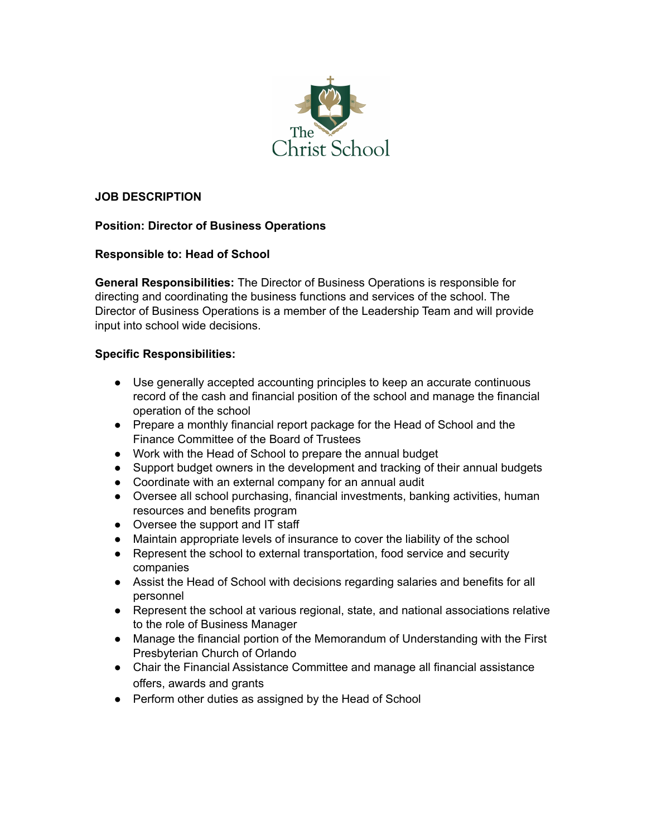

### **JOB DESCRIPTION**

# **Position: Director of Business Operations**

# **Responsible to: Head of School**

**General Responsibilities:** The Director of Business Operations is responsible for directing and coordinating the business functions and services of the school. The Director of Business Operations is a member of the Leadership Team and will provide input into school wide decisions.

# **Specific Responsibilities:**

- Use generally accepted accounting principles to keep an accurate continuous record of the cash and financial position of the school and manage the financial operation of the school
- Prepare a monthly financial report package for the Head of School and the Finance Committee of the Board of Trustees
- Work with the Head of School to prepare the annual budget
- Support budget owners in the development and tracking of their annual budgets
- Coordinate with an external company for an annual audit
- Oversee all school purchasing, financial investments, banking activities, human resources and benefits program
- Oversee the support and IT staff
- Maintain appropriate levels of insurance to cover the liability of the school
- Represent the school to external transportation, food service and security companies
- Assist the Head of School with decisions regarding salaries and benefits for all personnel
- Represent the school at various regional, state, and national associations relative to the role of Business Manager
- Manage the financial portion of the Memorandum of Understanding with the First Presbyterian Church of Orlando
- Chair the Financial Assistance Committee and manage all financial assistance offers, awards and grants
- Perform other duties as assigned by the Head of School